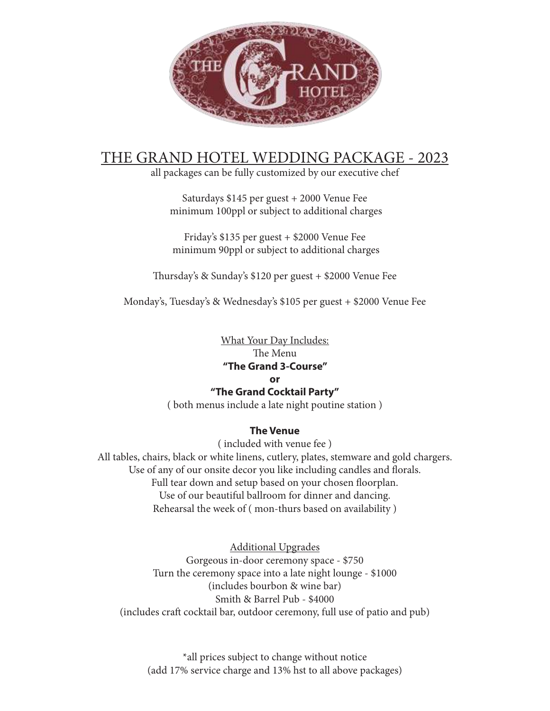

## THE GRAND HOTEL WEDDING PACKAGE - 2023

all packages can be fully customized by our executive chef

Saturdays \$145 per guest + 2000 Venue Fee minimum 100ppl or subject to additional charges

Friday's \$135 per guest + \$2000 Venue Fee minimum 90ppl or subject to additional charges

Thursday's & Sunday's \$120 per guest + \$2000 Venue Fee

Monday's, Tuesday's & Wednesday's \$105 per guest + \$2000 Venue Fee

What Your Day Includes: The Menu **"The Grand 3-Course"**

#### **or**

#### **"The Grand Cocktail Party"**

( both menus include a late night poutine station )

#### **The Venue**

( included with venue fee )

All tables, chairs, black or white linens, cutlery, plates, stemware and gold chargers. Use of any of our onsite decor you like including candles and florals. Full tear down and setup based on your chosen floorplan. Use of our beautiful ballroom for dinner and dancing. Rehearsal the week of ( mon-thurs based on availability )

Additional Upgrades Gorgeous in-door ceremony space - \$750 Turn the ceremony space into a late night lounge - \$1000 (includes bourbon & wine bar) Smith & Barrel Pub - \$4000 (includes craft cocktail bar, outdoor ceremony, full use of patio and pub)

\*all prices subject to change without notice (add 17% service charge and 13% hst to all above packages)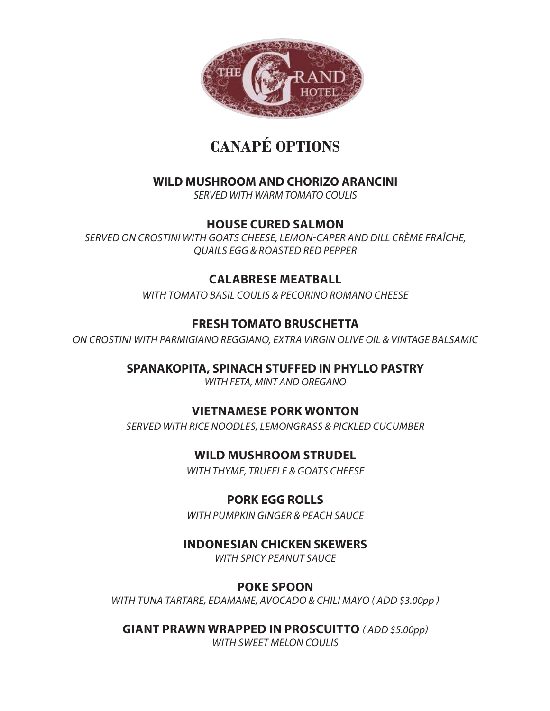

# **CANAPÉ OPTIONS**

## **WILD MUSHROOM AND CHORIZO ARANCINI**

SERVED WITH WARM TOMATO COULIS

## **HOUSE CURED SALMON**

SERVED ON CROSTINI WITH GOATS CHEESE, LEMON-CAPER AND DILL CRÈME FRAÎCHE, QUAILS EGG & ROASTED RED PEPPER

## **CALABRESE MEATBALL**

WITH TOMATO BASIL COULIS & PECORINO ROMANO CHEESE

## **FRESH TOMATO BRUSCHETTA**

ON CROSTINI WITH PARMIGIANO REGGIANO, EXTRA VIRGIN OLIVE OIL & VINTAGE BALSAMIC

**SPANAKOPITA, SPINACH STUFFED IN PHYLLO PASTRY** 

WITH FETA, MINT AND OREGANO

## **VIETNAMESE PORK WONTON**

SERVED WITH RICE NOODLES, LEMONGRASS & PICKLED CUCUMBER

**WILD MUSHROOM STRUDEL**

WITH THYME, TRUFFLE & GOATS CHEESE

## **PORK EGG ROLLS**

WITH PUMPKIN GINGER & PEACH SAUCE

## **INDONESIAN CHICKEN SKEWERS**

WITH SPICY PEANUT SAUCE

## **POKE SPOON**

WITH TUNA TARTARE, EDAMAME, AVOCADO & CHILI MAYO ( ADD \$3.00pp )

**GIANT PRAWN WRAPPED IN PROSCUITTO** ( ADD \$5.00pp)

WITH SWEET MELON COULIS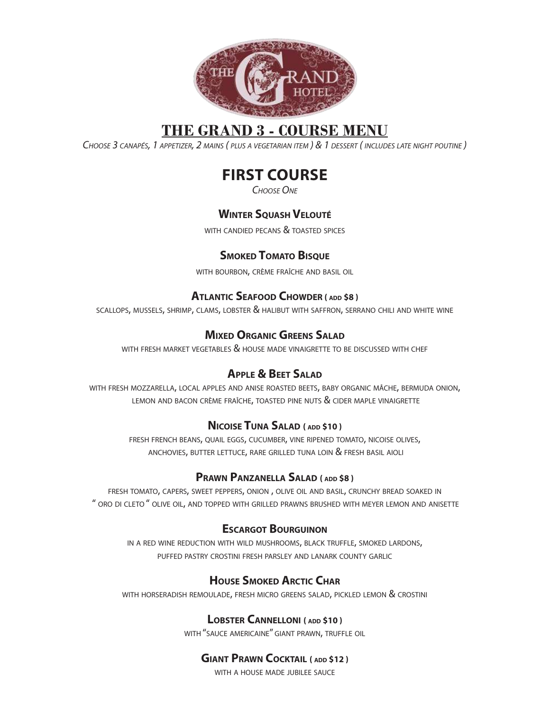

## **THE GRAND 3 - COURSE MENU**

CHOOSE 3 CANAPÉS, 1 APPETIZER, 2 MAINS ( PLUS <sup>A</sup> VEGETARIAN ITEM ) & 1 DESSERT ( INCLUDES LATE NIGHT POUTINE )

## **FIRST COURSE**

CHOOSE ONE

## **WINTER SQUASH VELOUTÉ**

WITH CANDIED PECANS & TOASTED SPICES

## **SMOKED TOMATO BISQUE**

WITH BOURBON, CRÈME FRAÎCHE AND BASIL OIL

#### **ATLANTIC SEAFOOD CHOWDER ( ADD \$8 )**

SCALLOPS, MUSSELS, SHRIMP, CLAMS, LOBSTER & HALIBUT WITH SAFFRON, SERRANO CHILI AND WHITE WINE

## **MIXED ORGANIC GREENS SALAD**

WITH FRESH MARKET VEGETABLES  $\&$  HOUSE MADE VINAIGRETTE TO BE DISCUSSED WITH CHEF

## **APPLE & BEET SALAD**

WITH FRESH MOZZARELLA, LOCAL APPLES AND ANISE ROASTED BEETS, BABY ORGANIC MÂCHE, BERMUDA ONION, LEMON AND BACON CRÈME FRAÎCHE, TOASTED PINE NUTS & CIDER MAPLE VINAIGRETTE

#### **NICOISE TUNA SALAD ( ADD \$10 )**

FRESH FRENCH BEANS, QUAIL EGGS, CUCUMBER, VINE RIPENED TOMATO, NICOISE OLIVES, ANCHOVIES, BUTTER LETTUCE, RARE GRILLED TUNA LOIN & FRESH BASIL AIOLI

#### **PRAWN PANZANELLA SALAD ( ADD \$8 )**

FRESH TOMATO, CAPERS, SWEET PEPPERS, ONION , OLIVE OIL AND BASIL, CRUNCHY BREAD SOAKED IN " ORO DI CLETO " OLIVE OIL, AND TOPPED WITH GRILLED PRAWNS BRUSHED WITH MEYER LEMON AND ANISETTE

#### **ESCARGOT BOURGUINON**

IN A RED WINE REDUCTION WITH WILD MUSHROOMS, BLACK TRUFFLE, SMOKED LARDONS, PUFFED PASTRY CROSTINI FRESH PARSLEY AND LANARK COUNTY GARLIC

## **HOUSE SMOKED ARCTIC CHAR**

WITH HORSERADISH REMOULADE, FRESH MICRO GREENS SALAD, PICKLED LEMON & CROSTINI

## **LOBSTER CANNELLONI ( ADD \$10 )**

WITH "SAUCE AMERICAINE" GIANT PRAWN, TRUFFLE OIL

## **GIANT PRAWN COCKTAIL ( ADD \$12 )**

WITH A HOUSE MADE JUBILEE SAUCE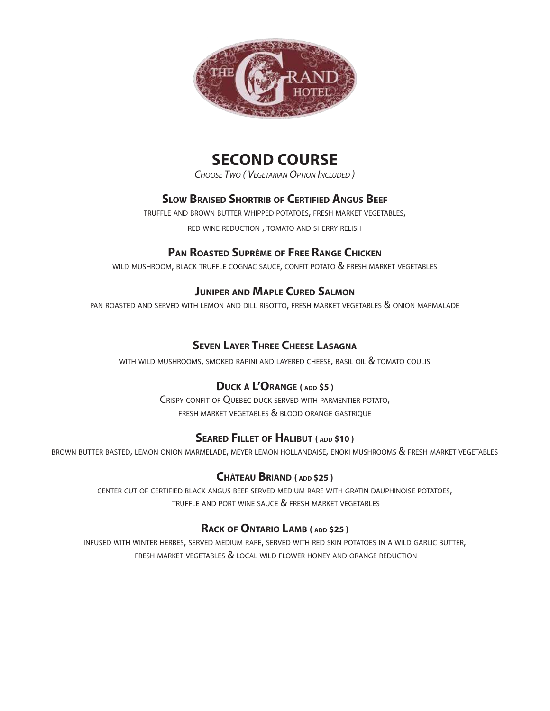

## **SECOND COURSE**

CHOOSE TWO ( VEGETARIAN OPTION INCLUDED )

## **SLOW BRAISED SHORTRIB OF CERTIFIED ANGUS BEEF**

TRUFFLE AND BROWN BUTTER WHIPPED POTATOES, FRESH MARKET VEGETABLES, RED WINE REDUCTION , TOMATO AND SHERRY RELISH

#### **PAN ROASTED SUPRÊME OF FREE RANGE CHICKEN**

WILD MUSHROOM, BLACK TRUFFLE COGNAC SAUCE, CONFIT POTATO & FRESH MARKET VEGETABLES

#### **JUNIPER AND MAPLE CURED SALMON**

PAN ROASTED AND SERVED WITH LEMON AND DILL RISOTTO, FRESH MARKET VEGETABLES & ONION MARMALADE

#### **SEVEN LAYER THREE CHEESE LASAGNA**

WITH WILD MUSHROOMS, SMOKED RAPINI AND LAYERED CHEESE, BASIL OIL & TOMATO COULIS

#### **DUCK À L'ORANGE ( ADD \$5 )**

CRISPY CONFIT OF QUEBEC DUCK SERVED WITH PARMENTIER POTATO, FRESH MARKET VEGETABLES & BLOOD ORANGE GASTRIQUE

#### **SEARED FILLET OF HALIBUT ( ADD \$10 )**

BROWN BUTTER BASTED, LEMON ONION MARMELADE, MEYER LEMON HOLLANDAISE, ENOKI MUSHROOMS & FRESH MARKET VEGETABLES

#### **CHÂTEAU BRIAND ( ADD \$25 )**

CENTER CUT OF CERTIFIED BLACK ANGUS BEEF SERVED MEDIUM RARE WITH GRATIN DAUPHINOISE POTATOES, TRUFFLE AND PORT WINE SAUCE & FRESH MARKET VEGETABLES

#### **RACK OF ONTARIO LAMB ( ADD \$25 )**

INFUSED WITH WINTER HERBES, SERVED MEDIUM RARE, SERVED WITH RED SKIN POTATOES IN A WILD GARLIC BUTTER, FRESH MARKET VEGETABLES & LOCAL WILD FLOWER HONEY AND ORANGE REDUCTION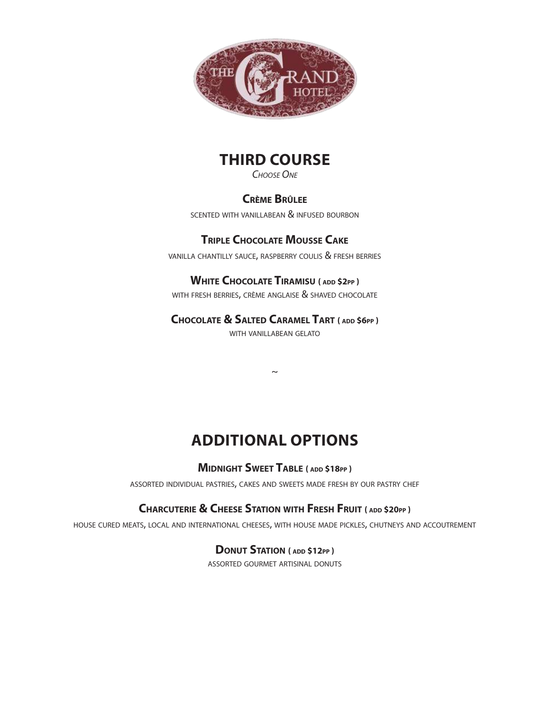

# **THIRD COURSE**

CHOOSE ONE

#### **CRÈME BRÛLEE**

SCENTED WITH VANILLABEAN & INFUSED BOURBON

## **TRIPLE CHOCOLATE MOUSSE CAKE**

VANILLA CHANTILLY SAUCE, RASPBERRY COULIS & FRESH BERRIES

#### **WHITE CHOCOLATE TIRAMISU ( ADD \$2PP )**

WITH FRESH BERRIES, CRÈME ANGLAISE & SHAVED CHOCOLATE

#### **CHOCOLATE & SALTED CARAMEL TART ( ADD \$6PP )**

WITH VANILLABEAN GELATO

 $\sim$ 

## **ADDITIONAL OPTIONS**

#### **MIDNIGHT SWEET TABLE ( ADD \$18PP )**

ASSORTED INDIVIDUAL PASTRIES, CAKES AND SWEETS MADE FRESH BY OUR PASTRY CHEF

## **CHARCUTERIE & CHEESE STATION WITH FRESH FRUIT ( ADD \$20PP )**

HOUSE CURED MEATS, LOCAL AND INTERNATIONAL CHEESES, WITH HOUSE MADE PICKLES, CHUTNEYS AND ACCOUTREMENT

#### **DONUT STATION ( ADD \$12PP )**

ASSORTED GOURMET ARTISINAL DONUTS